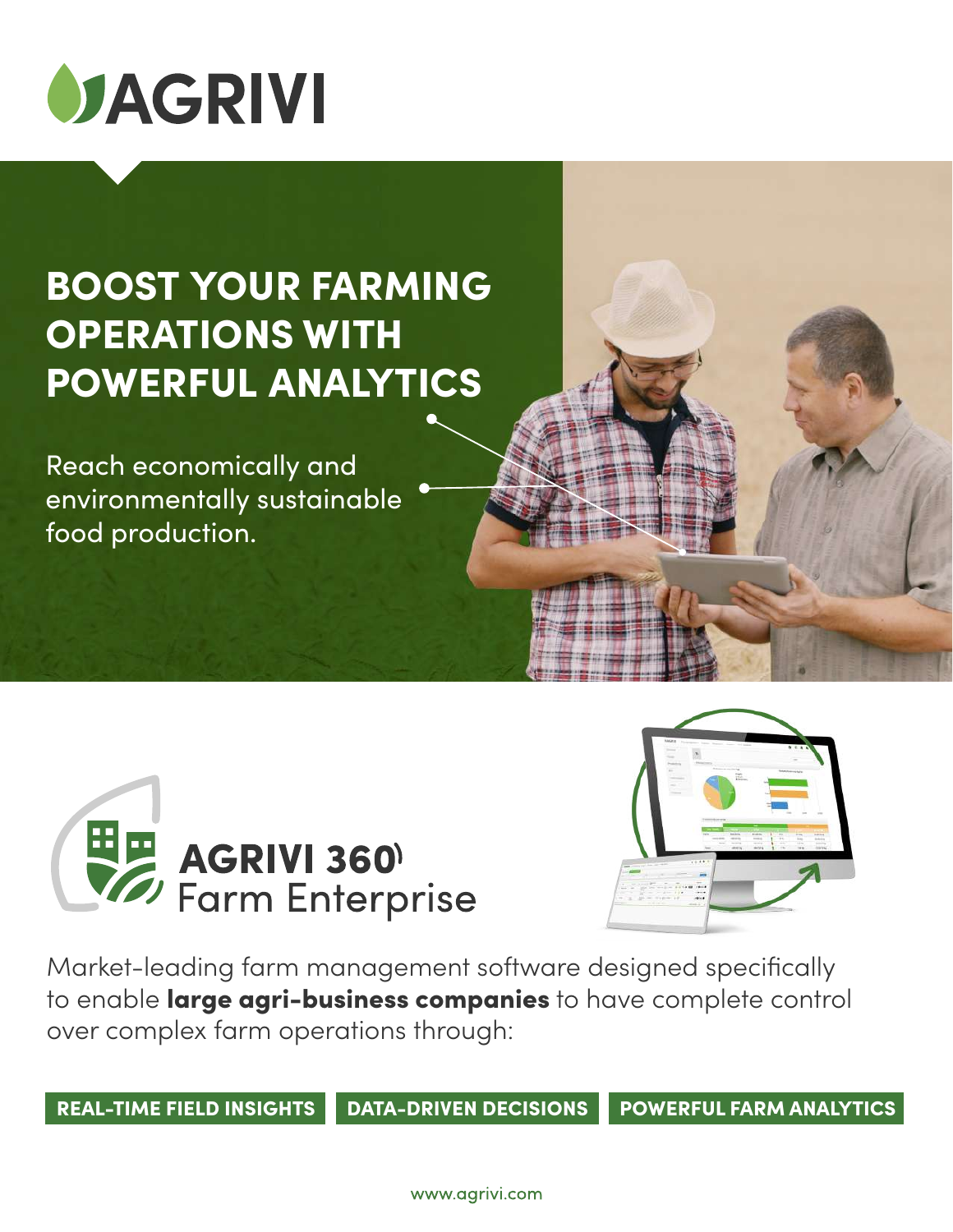

## BOOST YOUR FARMING OPERATIONS WITH POWERFUL ANALYTICS

Reach economically and environmentally sustainable food production.





Market-leading farm management software designed specifically to enable large agri-business companies to have complete control over complex farm operations through:

REAL-TIME FIELD INSIGHTS DATA-DRIVEN DECISIONS POWERFUL FARM ANALYTICS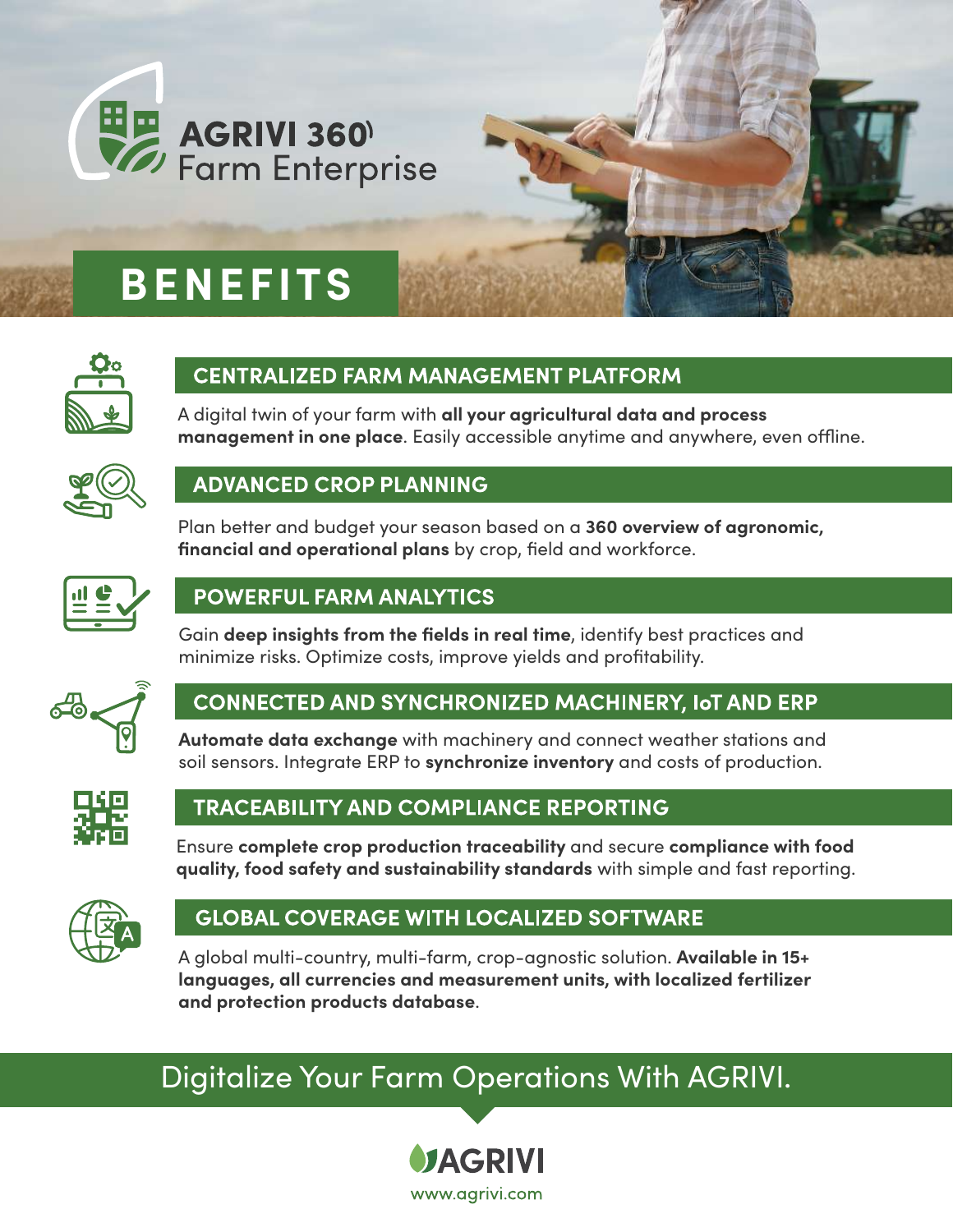

## **BENEFITS**



#### **CENTRALIZED FARM MANAGEMENT PLATFORM**

A digital twin of your farm with **all your agricultural data and process management in one place**. Easily accessible anytime and anywhere, even offline.



#### **ADVANCED CROP PLANNING**

Plan better and budget your season based on a **360 overview of agronomic, financial and operational plans** by crop, field and workforce.



#### **POWERFUL FARM ANALYTICS**

Gain **deep insights from the fields in real time**, identify best practices and minimize risks. Optimize costs, improve yields and profitability.



#### **CONNECTED AND SYNCHRONIZED MACHINERY, IOT AND ERP**

**Automate data exchange** with machinery and connect weather stations and soil sensors. Integrate ERP to **synchronize inventory** and costs of production.



#### **TRACEABILITY AND COMPLIANCE REPORTING**

Ensure **complete crop production traceability** and secure **compliance with food quality, food safety and sustainability standards** with simple and fast reporting.



#### **GLOBAL COVERAGE WITH LOCALIZED SOFTWARE**

A global multi-country, multi-farm, crop-agnostic solution. **Available in 15+ languages, all currencies and measurement units, with localized fertilizer and protection products database**.

### [Digitalize Your Farm Operations With AGRIVI.](https://www.agrivi.com/contact-us/)